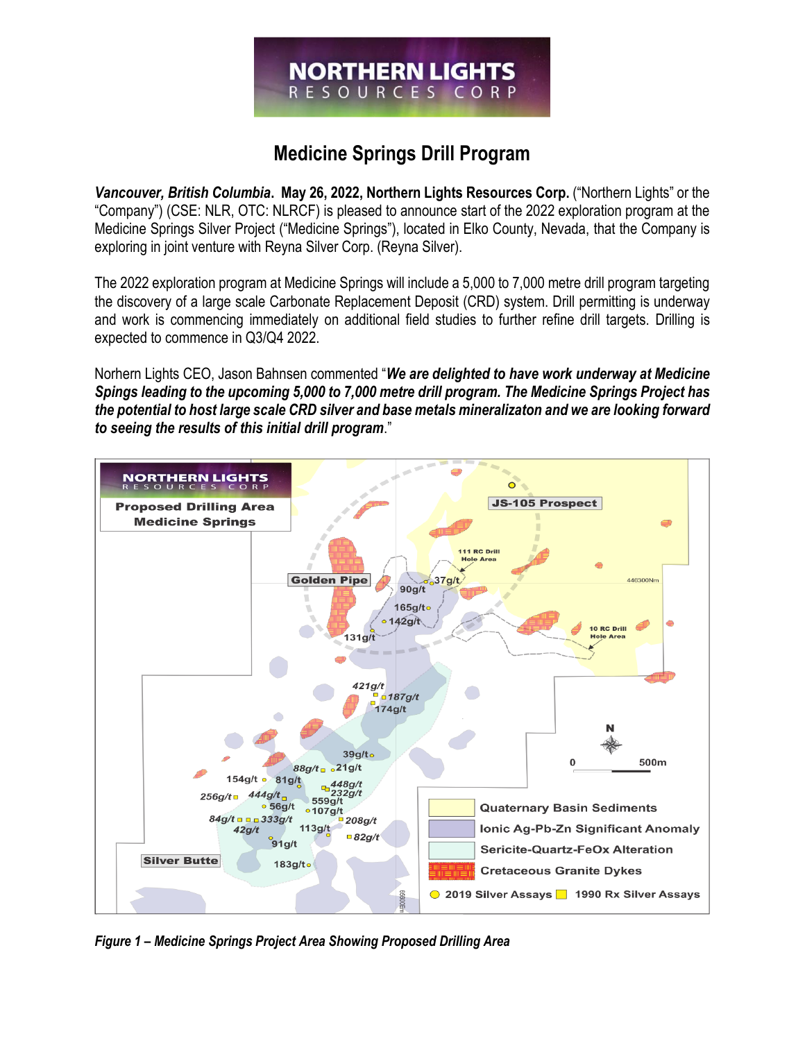# **NORTHERN LIGHTS** RESOURCES CORP

# **Medicine Springs Drill Program**

*Vancouver, British Columbia***. May 26, 2022, Northern Lights Resources Corp.** ("Northern Lights" or the "Company") (CSE: NLR, OTC: NLRCF) is pleased to announce start of the 2022 exploration program at the Medicine Springs Silver Project ("Medicine Springs"), located in Elko County, Nevada, that the Company is exploring in joint venture with Reyna Silver Corp. (Reyna Silver).

The 2022 exploration program at Medicine Springs will include a 5,000 to 7,000 metre drill program targeting the discovery of a large scale Carbonate Replacement Deposit (CRD) system. Drill permitting is underway and work is commencing immediately on additional field studies to further refine drill targets. Drilling is expected to commence in Q3/Q4 2022.

Norhern Lights CEO, Jason Bahnsen commented "*We are delighted to have work underway at Medicine Spings leading to the upcoming 5,000 to 7,000 metre drill program. The Medicine Springs Project has the potential to host large scale CRD silver and base metals mineralizaton and we are looking forward to seeing the results of this initial drill program*."



*Figure 1 – Medicine Springs Project Area Showing Proposed Drilling Area*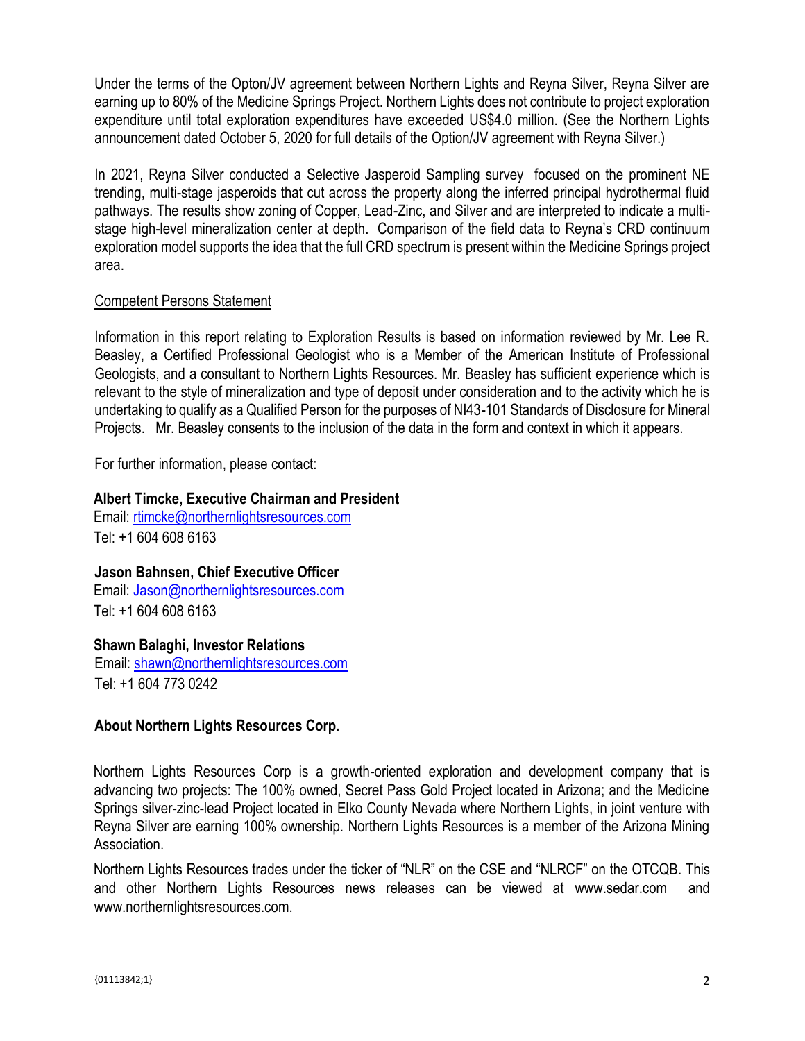Under the terms of the Opton/JV agreement between Northern Lights and Reyna Silver, Reyna Silver are earning up to 80% of the Medicine Springs Project. Northern Lights does not contribute to project exploration expenditure until total exploration expenditures have exceeded US\$4.0 million. (See the Northern Lights announcement dated October 5, 2020 for full details of the Option/JV agreement with Reyna Silver.)

In 2021, Reyna Silver conducted a Selective Jasperoid Sampling survey focused on the prominent NE trending, multi-stage jasperoids that cut across the property along the inferred principal hydrothermal fluid pathways. The results show zoning of Copper, Lead-Zinc, and Silver and are interpreted to indicate a multistage high-level mineralization center at depth. Comparison of the field data to Reyna's CRD continuum exploration model supports the idea that the full CRD spectrum is present within the Medicine Springs project area.

#### Competent Persons Statement

Information in this report relating to Exploration Results is based on information reviewed by Mr. Lee R. Beasley, a Certified Professional Geologist who is a Member of the American Institute of Professional Geologists, and a consultant to Northern Lights Resources. Mr. Beasley has sufficient experience which is relevant to the style of mineralization and type of deposit under consideration and to the activity which he is undertaking to qualify as a Qualified Person for the purposes of NI43-101 Standards of Disclosure for Mineral Projects. Mr. Beasley consents to the inclusion of the data in the form and context in which it appears.

For further information, please contact:

#### **Albert Timcke, Executive Chairman and President**

Email: rtimcke@northernlightsresources.com Tel: +1 604 608 6163

# **Jason Bahnsen, Chief Executive Officer**

Email: Jason@northernlightsresources.com Tel: +1 604 608 6163

# **Shawn Balaghi, Investor Relations**

Email: [shawn@northernlightsresources.com](mailto:shawn@northernlightsresources.com) Tel: +1 604 773 0242

# **About Northern Lights Resources Corp.**

Northern Lights Resources Corp is a growth-oriented exploration and development company that is advancing two projects: The 100% owned, Secret Pass Gold Project located in Arizona; and the Medicine Springs silver-zinc-lead Project located in Elko County Nevada where Northern Lights, in joint venture with Reyna Silver are earning 100% ownership. Northern Lights Resources is a member of the Arizona Mining Association.

Northern Lights Resources trades under the ticker of "NLR" on the CSE and "NLRCF" on the OTCQB. This and other Northern Lights Resources news releases can be viewed at [www.sedar.com](http://www.sedar.com/) and [www.northernlightsresources.com.](http://www.northernlightsresources.com/)